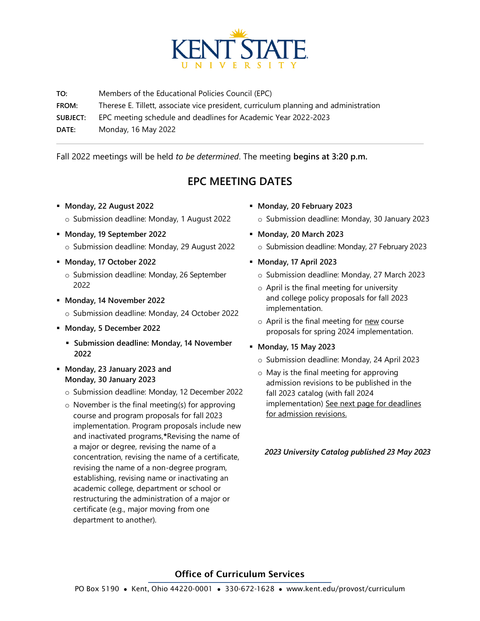

**TO:** Members of the Educational Policies Council (EPC) **FROM:** Therese E. Tillett, associate vice president, curriculum planning and administration **SUBJECT:** EPC meeting schedule and deadlines for Academic Year 2022-2023 **DATE:** Monday, 16 May 2022

Fall 2022 meetings will be held *to be determined*. The meeting **begins at 3:20 p.m.**

## **EPC MEETING DATES**

- **Monday, 22 August 2022** o Submission deadline: Monday, 1 August 2022
- **Monday, 19 September 2022** o Submission deadline: Monday, 29 August 2022
- **Monday, 17 October 2022**
	- o Submission deadline: Monday, 26 September 2022
- **Monday, 14 November 2022**
	- o Submission deadline: Monday, 24 October 2022
- **Monday, 5 December 2022**
	- **Submission deadline: Monday, 14 November 2022**
- **Monday, 23 January 2023 and Monday, 30 January 2023**
	- o Submission deadline: Monday, 12 December 2022
	- o November is the final meeting(s) for approving course and program proposals for fall 2023 implementation. Program proposals include new and inactivated programs,**\***Revising the name of a major or degree, revising the name of a concentration, revising the name of a certificate, revising the name of a non-degree program, establishing, revising name or inactivating an academic college, department or school or restructuring the administration of a major or certificate (e.g., major moving from one department to another).
- **Monday, 20 February 2023**
	- o Submission deadline: Monday, 30 January 2023
- **Monday, 20 March 2023**
	- o Submission deadline: Monday, 27 February 2023
- **Monday, 17 April 2023**
	- o Submission deadline: Monday, 27 March 2023
	- $\circ$  April is the final meeting for university and college policy proposals for fall 2023 implementation.
	- o April is the final meeting for new course proposals for spring 2024 implementation.
- **Monday, 15 May 2023**
	- o Submission deadline: Monday, 24 April 2023
	- o May is the final meeting for approving admission revisions to be published in the fall 2023 catalog (with fall 2024 implementation) See next page for deadlines for admission revisions.

*2023 University Catalog published 23 May 2023*

## Office of Curriculum Services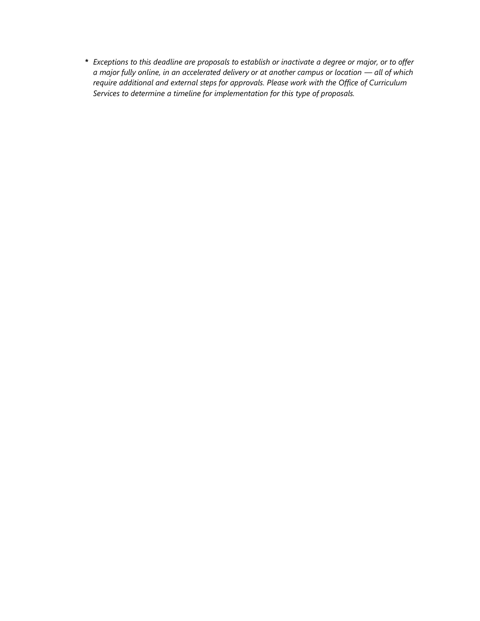*\* Exceptions to this deadline are proposals to establish or inactivate a degree or major, or to offer a major fully online, in an accelerated delivery or at another campus or location — all of which require additional and external steps for approvals. Please work with the Office of Curriculum Services to determine a timeline for implementation for this type of proposals.*